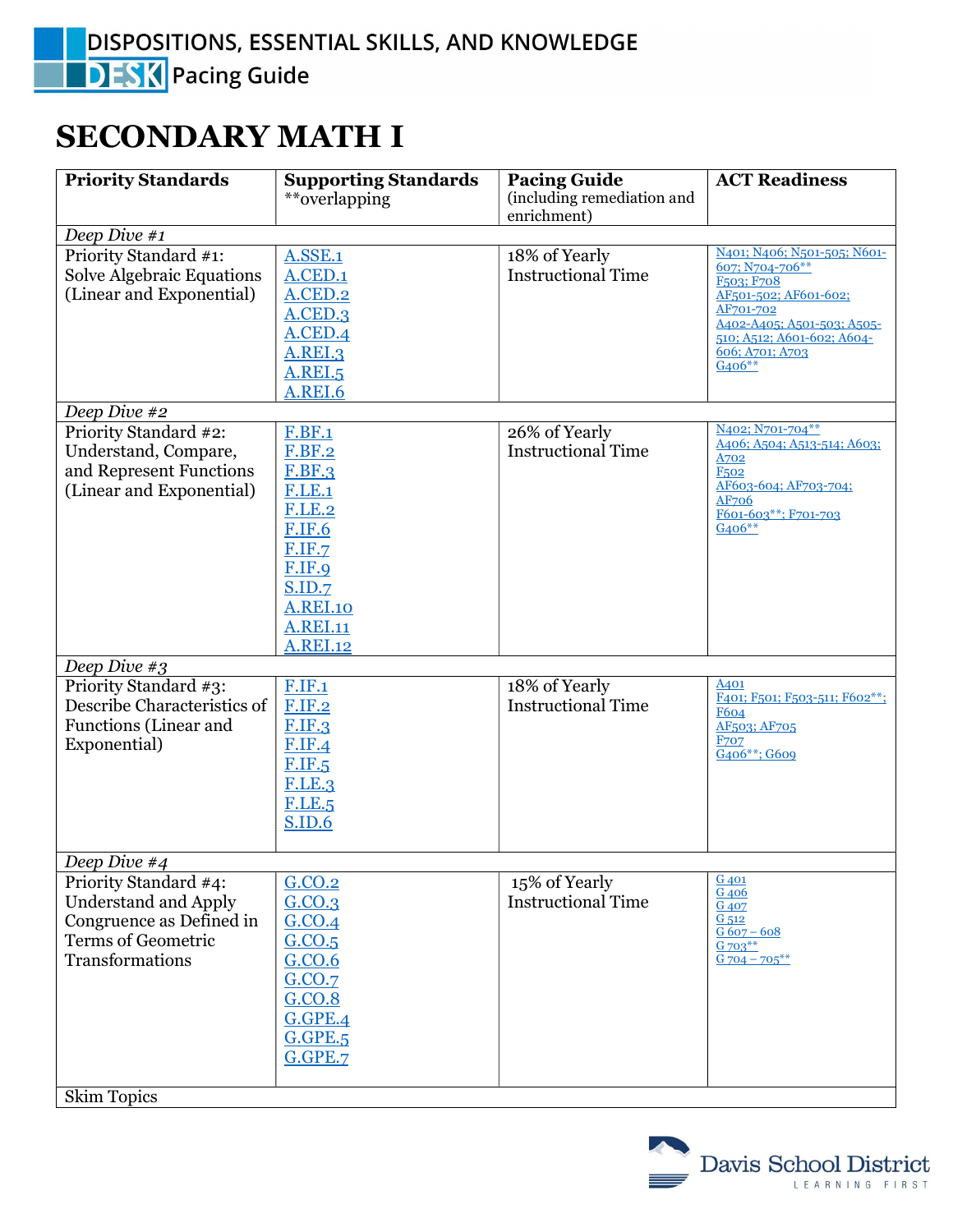## SECONDARY MATH I

| <b>Priority Standards</b>                                                                                                 | <b>Supporting Standards</b><br>**overlapping                                                                                                                                                     | <b>Pacing Guide</b><br>(including remediation and | <b>ACT Readiness</b>                                                                                                                                                                                                   |
|---------------------------------------------------------------------------------------------------------------------------|--------------------------------------------------------------------------------------------------------------------------------------------------------------------------------------------------|---------------------------------------------------|------------------------------------------------------------------------------------------------------------------------------------------------------------------------------------------------------------------------|
|                                                                                                                           |                                                                                                                                                                                                  | enrichment)                                       |                                                                                                                                                                                                                        |
| Deep Dive #1                                                                                                              |                                                                                                                                                                                                  |                                                   |                                                                                                                                                                                                                        |
| Priority Standard #1:<br><b>Solve Algebraic Equations</b><br>(Linear and Exponential)                                     | <b>A.SSE.1</b><br>A.CED.1<br>A.CED.2<br>$A$ .CED.3<br>A.CED.4<br><b>A.REI.3</b><br><b>A.REI.5</b><br>A.REI.6                                                                                     | 18% of Yearly<br><b>Instructional Time</b>        | N401; N406; N501-505; N601-<br>607; N704-706**<br>F <sub>503</sub> ; F <sub>708</sub><br>AF501-502; AF601-602;<br>AF701-702<br>A402-A405; A501-503; A505-<br>510; A512; A601-602; A604-<br>606; A701; A703<br>$G406**$ |
| Deep Dive #2                                                                                                              |                                                                                                                                                                                                  |                                                   |                                                                                                                                                                                                                        |
| Priority Standard #2:<br>Understand, Compare,<br>and Represent Functions<br>(Linear and Exponential)                      | <b>F.BF.1</b><br><b>F.BF.2</b><br><b>F.BF.3</b><br><b>F.LE.1</b><br><b>F.LE.2</b><br><b>F.IF.6</b><br><b>F.IF.7</b><br>F.IF.9<br>S.ID.7<br><b>A.REI.10</b><br><b>A.REI.11</b><br><b>A.REI.12</b> | 26% of Yearly<br><b>Instructional Time</b>        | N <sub>402</sub> ; N <sub>701-704</sub> **<br>A406; A504; A513-514; A603;<br>A702<br>F <sub>502</sub><br>AF603-604; AF703-704;<br>AF706<br>F601-603**; F701-703<br>$G406**$                                            |
| Deep Dive #3                                                                                                              |                                                                                                                                                                                                  |                                                   |                                                                                                                                                                                                                        |
| Priority Standard #3:<br>Describe Characteristics of<br>Functions (Linear and<br>Exponential)                             | <b>F.IF.1</b><br><b>F.IF.2</b><br><b>F.IF.3</b><br><b>F.IF.4</b><br><b>F.IF.5</b><br><b>F.LE.3</b><br><b>F.LE.5</b><br><b>S.ID.6</b>                                                             | 18% of Yearly<br><b>Instructional Time</b>        | A401<br>F401; F501; F503-511; F602**;<br><b>F604</b><br>AF503; AF705<br><b>F707</b><br>G406**; G609                                                                                                                    |
| Deep Dive #4                                                                                                              |                                                                                                                                                                                                  |                                                   |                                                                                                                                                                                                                        |
| Priority Standard #4:<br><b>Understand and Apply</b><br>Congruence as Defined in<br>Terms of Geometric<br>Transformations | G.CO.2<br>G.CO.3<br>G.CO.4<br>G.CO.5<br>G.CO.6<br>G.CO.7<br>G.CO.8<br>G.GPE.4<br><b>G.GPE.5</b><br>G.GPE.7                                                                                       | 15% of Yearly<br><b>Instructional Time</b>        | G 401<br>G <sub>406</sub><br>G 407<br>G <sub>512</sub><br>$G607 - 608$<br>G 703**<br>$G$ 704 – 705**                                                                                                                   |
| <b>Skim Topics</b>                                                                                                        |                                                                                                                                                                                                  |                                                   |                                                                                                                                                                                                                        |